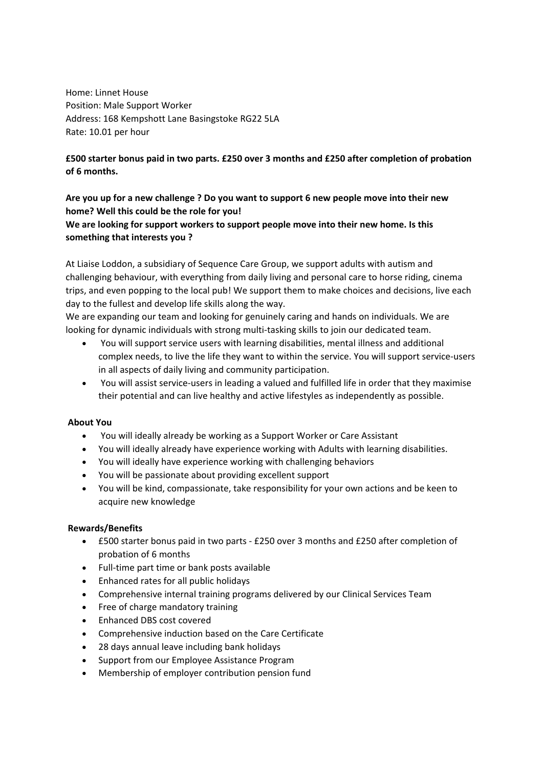Home: Linnet House Position: Male Support Worker Address: 168 Kempshott Lane Basingstoke RG22 5LA Rate: 10.01 per hour

# **£500 starter bonus paid in two parts. £250 over 3 months and £250 after completion of probation of 6 months.**

## **Are you up for a new challenge ? Do you want to support 6 new people move into their new home? Well this could be the role for you! We are looking for support workers to support people move into their new home. Is this**

#### **something that interests you ?**

At Liaise Loddon, a subsidiary of Sequence Care Group, we support adults with autism and challenging behaviour, with everything from daily living and personal care to horse riding, cinema trips, and even popping to the local pub! We support them to make choices and decisions, live each day to the fullest and develop life skills along the way.

We are expanding our team and looking for genuinely caring and hands on individuals. We are looking for dynamic individuals with strong multi-tasking skills to join our dedicated team.

- You will support service users with learning disabilities, mental illness and additional complex needs, to live the life they want to within the service. You will support service-users in all aspects of daily living and community participation.
- You will assist service-users in leading a valued and fulfilled life in order that they maximise their potential and can live healthy and active lifestyles as independently as possible.

## **About You**

- You will ideally already be working as a Support Worker or Care Assistant
- You will ideally already have experience working with Adults with learning disabilities.
- You will ideally have experience working with challenging behaviors
- You will be passionate about providing excellent support
- You will be kind, compassionate, take responsibility for your own actions and be keen to acquire new knowledge

## **Rewards/Benefits**

- £500 starter bonus paid in two parts £250 over 3 months and £250 after completion of probation of 6 months
- Full-time part time or bank posts available
- Enhanced rates for all public holidays
- Comprehensive internal training programs delivered by our Clinical Services Team
- Free of charge mandatory training
- Enhanced DBS cost covered
- Comprehensive induction based on the Care Certificate
- 28 days annual leave including bank holidays
- Support from our Employee Assistance Program
- Membership of employer contribution pension fund